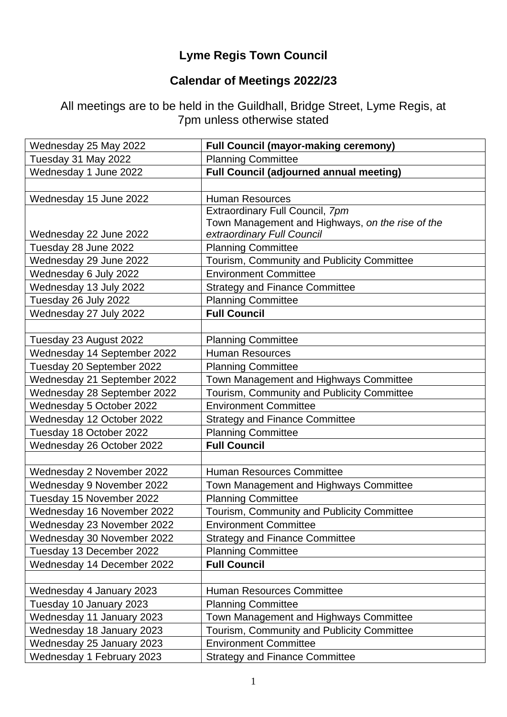## **Lyme Regis Town Council**

## **Calendar of Meetings 2022/23**

All meetings are to be held in the Guildhall, Bridge Street, Lyme Regis, at 7pm unless otherwise stated

| <b>Planning Committee</b><br>Tuesday 31 May 2022<br>Wednesday 1 June 2022<br><b>Full Council (adjourned annual meeting)</b><br><b>Human Resources</b><br>Wednesday 15 June 2022<br>Extraordinary Full Council, 7pm<br>Town Management and Highways, on the rise of the<br>extraordinary Full Council<br>Wednesday 22 June 2022<br><b>Planning Committee</b><br>Tuesday 28 June 2022<br>Wednesday 29 June 2022<br>Tourism, Community and Publicity Committee<br><b>Environment Committee</b><br>Wednesday 6 July 2022<br>Wednesday 13 July 2022<br><b>Strategy and Finance Committee</b><br><b>Planning Committee</b><br>Tuesday 26 July 2022<br><b>Full Council</b><br>Wednesday 27 July 2022<br><b>Planning Committee</b><br>Tuesday 23 August 2022<br>Wednesday 14 September 2022<br><b>Human Resources</b><br>Tuesday 20 September 2022<br><b>Planning Committee</b><br>Wednesday 21 September 2022<br>Town Management and Highways Committee<br>Tourism, Community and Publicity Committee<br>Wednesday 28 September 2022<br><b>Environment Committee</b><br>Wednesday 5 October 2022<br>Wednesday 12 October 2022<br><b>Strategy and Finance Committee</b><br>Tuesday 18 October 2022<br><b>Planning Committee</b><br><b>Full Council</b><br>Wednesday 26 October 2022<br><b>Human Resources Committee</b><br>Wednesday 2 November 2022<br>Wednesday 9 November 2022<br>Town Management and Highways Committee<br>Tuesday 15 November 2022<br><b>Planning Committee</b><br>Wednesday 16 November 2022<br>Tourism, Community and Publicity Committee<br>Wednesday 23 November 2022<br><b>Environment Committee</b><br>Wednesday 30 November 2022<br><b>Strategy and Finance Committee</b><br>Tuesday 13 December 2022<br><b>Planning Committee</b><br><b>Full Council</b><br>Wednesday 14 December 2022<br>Wednesday 4 January 2023<br><b>Human Resources Committee</b><br><b>Planning Committee</b><br>Tuesday 10 January 2023<br>Wednesday 11 January 2023<br>Town Management and Highways Committee<br>Wednesday 18 January 2023<br><b>Tourism, Community and Publicity Committee</b><br>Wednesday 25 January 2023<br><b>Environment Committee</b><br>Wednesday 1 February 2023<br><b>Strategy and Finance Committee</b> | Wednesday 25 May 2022 | <b>Full Council (mayor-making ceremony)</b> |
|---------------------------------------------------------------------------------------------------------------------------------------------------------------------------------------------------------------------------------------------------------------------------------------------------------------------------------------------------------------------------------------------------------------------------------------------------------------------------------------------------------------------------------------------------------------------------------------------------------------------------------------------------------------------------------------------------------------------------------------------------------------------------------------------------------------------------------------------------------------------------------------------------------------------------------------------------------------------------------------------------------------------------------------------------------------------------------------------------------------------------------------------------------------------------------------------------------------------------------------------------------------------------------------------------------------------------------------------------------------------------------------------------------------------------------------------------------------------------------------------------------------------------------------------------------------------------------------------------------------------------------------------------------------------------------------------------------------------------------------------------------------------------------------------------------------------------------------------------------------------------------------------------------------------------------------------------------------------------------------------------------------------------------------------------------------------------------------------------------------------------------------------------------------------------------------------------------------------------------|-----------------------|---------------------------------------------|
|                                                                                                                                                                                                                                                                                                                                                                                                                                                                                                                                                                                                                                                                                                                                                                                                                                                                                                                                                                                                                                                                                                                                                                                                                                                                                                                                                                                                                                                                                                                                                                                                                                                                                                                                                                                                                                                                                                                                                                                                                                                                                                                                                                                                                                 |                       |                                             |
|                                                                                                                                                                                                                                                                                                                                                                                                                                                                                                                                                                                                                                                                                                                                                                                                                                                                                                                                                                                                                                                                                                                                                                                                                                                                                                                                                                                                                                                                                                                                                                                                                                                                                                                                                                                                                                                                                                                                                                                                                                                                                                                                                                                                                                 |                       |                                             |
|                                                                                                                                                                                                                                                                                                                                                                                                                                                                                                                                                                                                                                                                                                                                                                                                                                                                                                                                                                                                                                                                                                                                                                                                                                                                                                                                                                                                                                                                                                                                                                                                                                                                                                                                                                                                                                                                                                                                                                                                                                                                                                                                                                                                                                 |                       |                                             |
|                                                                                                                                                                                                                                                                                                                                                                                                                                                                                                                                                                                                                                                                                                                                                                                                                                                                                                                                                                                                                                                                                                                                                                                                                                                                                                                                                                                                                                                                                                                                                                                                                                                                                                                                                                                                                                                                                                                                                                                                                                                                                                                                                                                                                                 |                       |                                             |
|                                                                                                                                                                                                                                                                                                                                                                                                                                                                                                                                                                                                                                                                                                                                                                                                                                                                                                                                                                                                                                                                                                                                                                                                                                                                                                                                                                                                                                                                                                                                                                                                                                                                                                                                                                                                                                                                                                                                                                                                                                                                                                                                                                                                                                 |                       |                                             |
|                                                                                                                                                                                                                                                                                                                                                                                                                                                                                                                                                                                                                                                                                                                                                                                                                                                                                                                                                                                                                                                                                                                                                                                                                                                                                                                                                                                                                                                                                                                                                                                                                                                                                                                                                                                                                                                                                                                                                                                                                                                                                                                                                                                                                                 |                       |                                             |
|                                                                                                                                                                                                                                                                                                                                                                                                                                                                                                                                                                                                                                                                                                                                                                                                                                                                                                                                                                                                                                                                                                                                                                                                                                                                                                                                                                                                                                                                                                                                                                                                                                                                                                                                                                                                                                                                                                                                                                                                                                                                                                                                                                                                                                 |                       |                                             |
|                                                                                                                                                                                                                                                                                                                                                                                                                                                                                                                                                                                                                                                                                                                                                                                                                                                                                                                                                                                                                                                                                                                                                                                                                                                                                                                                                                                                                                                                                                                                                                                                                                                                                                                                                                                                                                                                                                                                                                                                                                                                                                                                                                                                                                 |                       |                                             |
|                                                                                                                                                                                                                                                                                                                                                                                                                                                                                                                                                                                                                                                                                                                                                                                                                                                                                                                                                                                                                                                                                                                                                                                                                                                                                                                                                                                                                                                                                                                                                                                                                                                                                                                                                                                                                                                                                                                                                                                                                                                                                                                                                                                                                                 |                       |                                             |
|                                                                                                                                                                                                                                                                                                                                                                                                                                                                                                                                                                                                                                                                                                                                                                                                                                                                                                                                                                                                                                                                                                                                                                                                                                                                                                                                                                                                                                                                                                                                                                                                                                                                                                                                                                                                                                                                                                                                                                                                                                                                                                                                                                                                                                 |                       |                                             |
|                                                                                                                                                                                                                                                                                                                                                                                                                                                                                                                                                                                                                                                                                                                                                                                                                                                                                                                                                                                                                                                                                                                                                                                                                                                                                                                                                                                                                                                                                                                                                                                                                                                                                                                                                                                                                                                                                                                                                                                                                                                                                                                                                                                                                                 |                       |                                             |
|                                                                                                                                                                                                                                                                                                                                                                                                                                                                                                                                                                                                                                                                                                                                                                                                                                                                                                                                                                                                                                                                                                                                                                                                                                                                                                                                                                                                                                                                                                                                                                                                                                                                                                                                                                                                                                                                                                                                                                                                                                                                                                                                                                                                                                 |                       |                                             |
|                                                                                                                                                                                                                                                                                                                                                                                                                                                                                                                                                                                                                                                                                                                                                                                                                                                                                                                                                                                                                                                                                                                                                                                                                                                                                                                                                                                                                                                                                                                                                                                                                                                                                                                                                                                                                                                                                                                                                                                                                                                                                                                                                                                                                                 |                       |                                             |
|                                                                                                                                                                                                                                                                                                                                                                                                                                                                                                                                                                                                                                                                                                                                                                                                                                                                                                                                                                                                                                                                                                                                                                                                                                                                                                                                                                                                                                                                                                                                                                                                                                                                                                                                                                                                                                                                                                                                                                                                                                                                                                                                                                                                                                 |                       |                                             |
|                                                                                                                                                                                                                                                                                                                                                                                                                                                                                                                                                                                                                                                                                                                                                                                                                                                                                                                                                                                                                                                                                                                                                                                                                                                                                                                                                                                                                                                                                                                                                                                                                                                                                                                                                                                                                                                                                                                                                                                                                                                                                                                                                                                                                                 |                       |                                             |
|                                                                                                                                                                                                                                                                                                                                                                                                                                                                                                                                                                                                                                                                                                                                                                                                                                                                                                                                                                                                                                                                                                                                                                                                                                                                                                                                                                                                                                                                                                                                                                                                                                                                                                                                                                                                                                                                                                                                                                                                                                                                                                                                                                                                                                 |                       |                                             |
|                                                                                                                                                                                                                                                                                                                                                                                                                                                                                                                                                                                                                                                                                                                                                                                                                                                                                                                                                                                                                                                                                                                                                                                                                                                                                                                                                                                                                                                                                                                                                                                                                                                                                                                                                                                                                                                                                                                                                                                                                                                                                                                                                                                                                                 |                       |                                             |
|                                                                                                                                                                                                                                                                                                                                                                                                                                                                                                                                                                                                                                                                                                                                                                                                                                                                                                                                                                                                                                                                                                                                                                                                                                                                                                                                                                                                                                                                                                                                                                                                                                                                                                                                                                                                                                                                                                                                                                                                                                                                                                                                                                                                                                 |                       |                                             |
|                                                                                                                                                                                                                                                                                                                                                                                                                                                                                                                                                                                                                                                                                                                                                                                                                                                                                                                                                                                                                                                                                                                                                                                                                                                                                                                                                                                                                                                                                                                                                                                                                                                                                                                                                                                                                                                                                                                                                                                                                                                                                                                                                                                                                                 |                       |                                             |
|                                                                                                                                                                                                                                                                                                                                                                                                                                                                                                                                                                                                                                                                                                                                                                                                                                                                                                                                                                                                                                                                                                                                                                                                                                                                                                                                                                                                                                                                                                                                                                                                                                                                                                                                                                                                                                                                                                                                                                                                                                                                                                                                                                                                                                 |                       |                                             |
|                                                                                                                                                                                                                                                                                                                                                                                                                                                                                                                                                                                                                                                                                                                                                                                                                                                                                                                                                                                                                                                                                                                                                                                                                                                                                                                                                                                                                                                                                                                                                                                                                                                                                                                                                                                                                                                                                                                                                                                                                                                                                                                                                                                                                                 |                       |                                             |
|                                                                                                                                                                                                                                                                                                                                                                                                                                                                                                                                                                                                                                                                                                                                                                                                                                                                                                                                                                                                                                                                                                                                                                                                                                                                                                                                                                                                                                                                                                                                                                                                                                                                                                                                                                                                                                                                                                                                                                                                                                                                                                                                                                                                                                 |                       |                                             |
|                                                                                                                                                                                                                                                                                                                                                                                                                                                                                                                                                                                                                                                                                                                                                                                                                                                                                                                                                                                                                                                                                                                                                                                                                                                                                                                                                                                                                                                                                                                                                                                                                                                                                                                                                                                                                                                                                                                                                                                                                                                                                                                                                                                                                                 |                       |                                             |
|                                                                                                                                                                                                                                                                                                                                                                                                                                                                                                                                                                                                                                                                                                                                                                                                                                                                                                                                                                                                                                                                                                                                                                                                                                                                                                                                                                                                                                                                                                                                                                                                                                                                                                                                                                                                                                                                                                                                                                                                                                                                                                                                                                                                                                 |                       |                                             |
|                                                                                                                                                                                                                                                                                                                                                                                                                                                                                                                                                                                                                                                                                                                                                                                                                                                                                                                                                                                                                                                                                                                                                                                                                                                                                                                                                                                                                                                                                                                                                                                                                                                                                                                                                                                                                                                                                                                                                                                                                                                                                                                                                                                                                                 |                       |                                             |
|                                                                                                                                                                                                                                                                                                                                                                                                                                                                                                                                                                                                                                                                                                                                                                                                                                                                                                                                                                                                                                                                                                                                                                                                                                                                                                                                                                                                                                                                                                                                                                                                                                                                                                                                                                                                                                                                                                                                                                                                                                                                                                                                                                                                                                 |                       |                                             |
|                                                                                                                                                                                                                                                                                                                                                                                                                                                                                                                                                                                                                                                                                                                                                                                                                                                                                                                                                                                                                                                                                                                                                                                                                                                                                                                                                                                                                                                                                                                                                                                                                                                                                                                                                                                                                                                                                                                                                                                                                                                                                                                                                                                                                                 |                       |                                             |
|                                                                                                                                                                                                                                                                                                                                                                                                                                                                                                                                                                                                                                                                                                                                                                                                                                                                                                                                                                                                                                                                                                                                                                                                                                                                                                                                                                                                                                                                                                                                                                                                                                                                                                                                                                                                                                                                                                                                                                                                                                                                                                                                                                                                                                 |                       |                                             |
|                                                                                                                                                                                                                                                                                                                                                                                                                                                                                                                                                                                                                                                                                                                                                                                                                                                                                                                                                                                                                                                                                                                                                                                                                                                                                                                                                                                                                                                                                                                                                                                                                                                                                                                                                                                                                                                                                                                                                                                                                                                                                                                                                                                                                                 |                       |                                             |
|                                                                                                                                                                                                                                                                                                                                                                                                                                                                                                                                                                                                                                                                                                                                                                                                                                                                                                                                                                                                                                                                                                                                                                                                                                                                                                                                                                                                                                                                                                                                                                                                                                                                                                                                                                                                                                                                                                                                                                                                                                                                                                                                                                                                                                 |                       |                                             |
|                                                                                                                                                                                                                                                                                                                                                                                                                                                                                                                                                                                                                                                                                                                                                                                                                                                                                                                                                                                                                                                                                                                                                                                                                                                                                                                                                                                                                                                                                                                                                                                                                                                                                                                                                                                                                                                                                                                                                                                                                                                                                                                                                                                                                                 |                       |                                             |
|                                                                                                                                                                                                                                                                                                                                                                                                                                                                                                                                                                                                                                                                                                                                                                                                                                                                                                                                                                                                                                                                                                                                                                                                                                                                                                                                                                                                                                                                                                                                                                                                                                                                                                                                                                                                                                                                                                                                                                                                                                                                                                                                                                                                                                 |                       |                                             |
|                                                                                                                                                                                                                                                                                                                                                                                                                                                                                                                                                                                                                                                                                                                                                                                                                                                                                                                                                                                                                                                                                                                                                                                                                                                                                                                                                                                                                                                                                                                                                                                                                                                                                                                                                                                                                                                                                                                                                                                                                                                                                                                                                                                                                                 |                       |                                             |
|                                                                                                                                                                                                                                                                                                                                                                                                                                                                                                                                                                                                                                                                                                                                                                                                                                                                                                                                                                                                                                                                                                                                                                                                                                                                                                                                                                                                                                                                                                                                                                                                                                                                                                                                                                                                                                                                                                                                                                                                                                                                                                                                                                                                                                 |                       |                                             |
|                                                                                                                                                                                                                                                                                                                                                                                                                                                                                                                                                                                                                                                                                                                                                                                                                                                                                                                                                                                                                                                                                                                                                                                                                                                                                                                                                                                                                                                                                                                                                                                                                                                                                                                                                                                                                                                                                                                                                                                                                                                                                                                                                                                                                                 |                       |                                             |
|                                                                                                                                                                                                                                                                                                                                                                                                                                                                                                                                                                                                                                                                                                                                                                                                                                                                                                                                                                                                                                                                                                                                                                                                                                                                                                                                                                                                                                                                                                                                                                                                                                                                                                                                                                                                                                                                                                                                                                                                                                                                                                                                                                                                                                 |                       |                                             |
|                                                                                                                                                                                                                                                                                                                                                                                                                                                                                                                                                                                                                                                                                                                                                                                                                                                                                                                                                                                                                                                                                                                                                                                                                                                                                                                                                                                                                                                                                                                                                                                                                                                                                                                                                                                                                                                                                                                                                                                                                                                                                                                                                                                                                                 |                       |                                             |
|                                                                                                                                                                                                                                                                                                                                                                                                                                                                                                                                                                                                                                                                                                                                                                                                                                                                                                                                                                                                                                                                                                                                                                                                                                                                                                                                                                                                                                                                                                                                                                                                                                                                                                                                                                                                                                                                                                                                                                                                                                                                                                                                                                                                                                 |                       |                                             |
|                                                                                                                                                                                                                                                                                                                                                                                                                                                                                                                                                                                                                                                                                                                                                                                                                                                                                                                                                                                                                                                                                                                                                                                                                                                                                                                                                                                                                                                                                                                                                                                                                                                                                                                                                                                                                                                                                                                                                                                                                                                                                                                                                                                                                                 |                       |                                             |